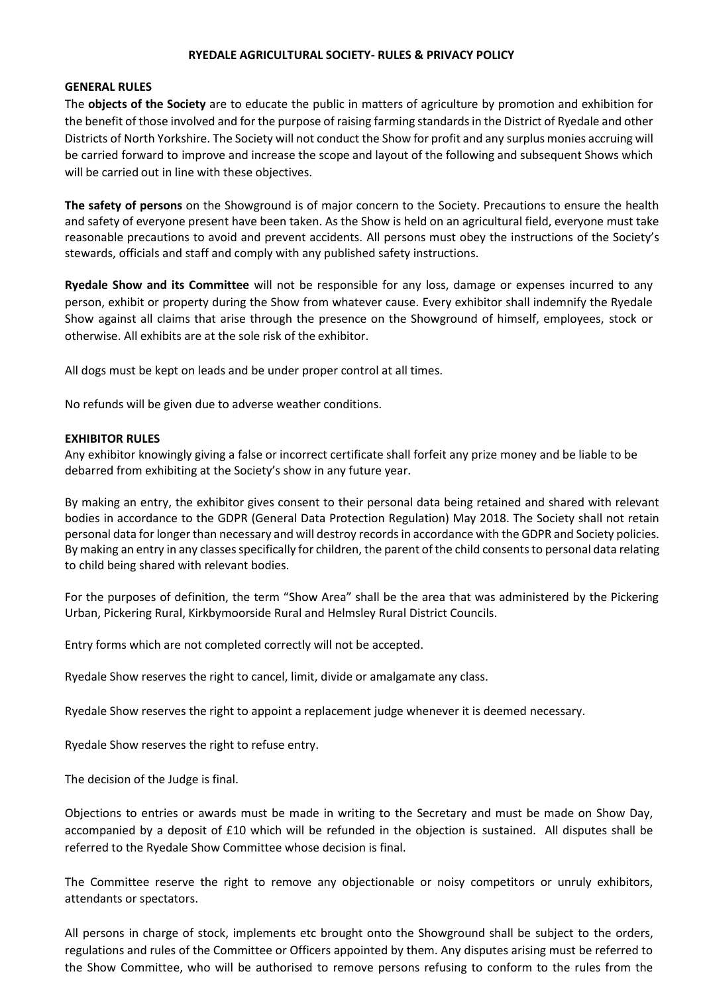### **RYEDALE AGRICULTURAL SOCIETY- RULES & PRIVACY POLICY**

#### **GENERAL RULES**

The **objects of the Society** are to educate the public in matters of agriculture by promotion and exhibition for the benefit of those involved and for the purpose of raising farming standards in the District of Ryedale and other Districts of North Yorkshire. The Society will not conduct the Show for profit and any surplus monies accruing will be carried forward to improve and increase the scope and layout of the following and subsequent Shows which will be carried out in line with these objectives.

**The safety of persons** on the Showground is of major concern to the Society. Precautions to ensure the health and safety of everyone present have been taken. As the Show is held on an agricultural field, everyone must take reasonable precautions to avoid and prevent accidents. All persons must obey the instructions of the Society's stewards, officials and staff and comply with any published safety instructions.

**Ryedale Show and its Committee** will not be responsible for any loss, damage or expenses incurred to any person, exhibit or property during the Show from whatever cause. Every exhibitor shall indemnify the Ryedale Show against all claims that arise through the presence on the Showground of himself, employees, stock or otherwise. All exhibits are at the sole risk of the exhibitor.

All dogs must be kept on leads and be under proper control at all times.

No refunds will be given due to adverse weather conditions.

### **EXHIBITOR RULES**

Any exhibitor knowingly giving a false or incorrect certificate shall forfeit any prize money and be liable to be debarred from exhibiting at the Society's show in any future year.

By making an entry, the exhibitor gives consent to their personal data being retained and shared with relevant bodies in accordance to the GDPR (General Data Protection Regulation) May 2018. The Society shall not retain personal data for longer than necessary and will destroy records in accordance with the GDPR and Society policies. By making an entry in any classes specifically for children, the parent of the child consents to personal data relating to child being shared with relevant bodies.

For the purposes of definition, the term "Show Area" shall be the area that was administered by the Pickering Urban, Pickering Rural, Kirkbymoorside Rural and Helmsley Rural District Councils.

Entry forms which are not completed correctly will not be accepted.

Ryedale Show reserves the right to cancel, limit, divide or amalgamate any class.

Ryedale Show reserves the right to appoint a replacement judge whenever it is deemed necessary.

Ryedale Show reserves the right to refuse entry.

The decision of the Judge is final.

Objections to entries or awards must be made in writing to the Secretary and must be made on Show Day, accompanied by a deposit of £10 which will be refunded in the objection is sustained. All disputes shall be referred to the Ryedale Show Committee whose decision is final.

The Committee reserve the right to remove any objectionable or noisy competitors or unruly exhibitors, attendants or spectators.

All persons in charge of stock, implements etc brought onto the Showground shall be subject to the orders, regulations and rules of the Committee or Officers appointed by them. Any disputes arising must be referred to the Show Committee, who will be authorised to remove persons refusing to conform to the rules from the